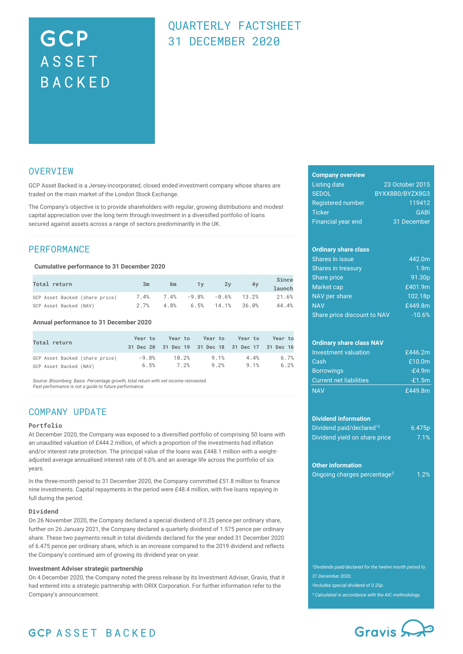# GCP **ASSET** BACKED

# QUARTERLY FACTSHEET 31 DECEMBER 2020

### **OVERVIEW**

GCP Asset Backed is a Jersey-incorporated, closed ended investment company whose shares are traded on the main market of the London Stock Exchange.

The Company's objective is to provide shareholders with regular, growing distributions and modest capital appreciation over the long term through investment in a diversified portfolio of loans secured against assets across a range of sectors predominantly in the UK.

### PERFORMANCE

**Cumulative performance to 31 December 2020**

| <b>Total return</b>            | Зm | 6m | 1v                                      | 2v | 4y | Since<br>launch |
|--------------------------------|----|----|-----------------------------------------|----|----|-----------------|
| GCP Asset Backed (share price) |    |    | $7.4\%$ $7.4\%$ $-9.8\%$ $-0.6\%$ 13.2% |    |    | 21.6%           |
| GCP Asset Backed (NAV)         |    |    | $2.7\%$ 4.8% 6.5% 14.1% 36.0%           |    |    | 44.4%           |

**Annual performance to 31 December 2020**

| Total return                   | Year to |       | Year to Year to Year to<br>31 Dec 20 31 Dec 19 31 Dec 18 31 Dec 17 31 Dec 16 |      | Year to |
|--------------------------------|---------|-------|------------------------------------------------------------------------------|------|---------|
| GCP Asset Backed (share price) | $-9.8%$ | 10.2% | 9.1%                                                                         | 4.4% | 6.7%    |
| GCP Asset Backed (NAV)         | 6.5%    | 7.2%  | 9.2%                                                                         | 9.1% | 6.2%    |

*Source: Bloomberg. Basis: Percentage growth, total return with net income reinvested. Past performance is not a guide to future performance.*

### COMPANY UPDATE

### **Portfolio**

At December 2020, the Company was exposed to a diversified portfolio of comprising 50 loans with an unaudited valuation of £444.2 million, of which a proportion of the investments had inflation and/or interest rate protection. The principal value of the loans was £448.1 million with a weightadjusted average annualised interest rate of 8.0% and an average life across the portfolio of six years.

In the three-month period to 31 December 2020, the Company committed £51.8 million to finance nine investments. Capital repayments in the period were £48.4 million, with five loans repaying in full during the period.

#### **Dividend**

On 26 November 2020, the Company declared a special dividend of 0.25 pence per ordinary share, further on 26 January 2021, the Company declared a quarterly dividend of 1.575 pence per ordinary share. These two payments result in total dividends declared for the year ended 31 December 2020 of 6.475 pence per ordinary share, which is an increase compared to the 2019 dividend and reflects the Company's continued aim of growing its dividend year on year.

#### **Investment Adviser strategic partnership**

On 4 December 2020, the Company noted the press release by its Investment Adviser, Gravis, that it had entered into a strategic partnership with ORIX Corporation. For further information refer to the Company's announcement.

### **Company overview**

| Listing date             | 23 October 2015 |
|--------------------------|-----------------|
| <b>SEDOL</b>             | BYXX8B0/BYZX8G3 |
| <b>Registered number</b> | 119412          |
| <b>Ticker</b>            | <b>GABI</b>     |
| Financial year end       | 31 December     |

### **Ordinary share class**

| <b>Shares in issue</b>      | 442.0m           |
|-----------------------------|------------------|
| Shares in treasury          | 1.9 <sub>m</sub> |
| Share price                 | 91.30p           |
| Market cap                  | £401.9m          |
| NAV per share               | 102.18p          |
| <b>NAV</b>                  | £449.8m          |
| Share price discount to NAV | $-10.6%$         |

### **Ordinary share class NAV**

| Investment valuation           | £446.2 $m$ |
|--------------------------------|------------|
| Cash                           | £10.0 $m$  |
| <b>Borrowings</b>              | $-E4.9m$   |
| <b>Current net liabilities</b> | $-E1.5m$   |
| <b>NAV</b>                     | £449.8m    |

### **Dividend information**

| Dividend paid/declared <sup>12</sup> | 6.475 <sub>p</sub> |
|--------------------------------------|--------------------|
| Dividend yield on share price        | 7.1%               |

#### **Other information**

|  | Ongoing charges percentage <sup>3</sup> | 1.2% |
|--|-----------------------------------------|------|

*<sup>1</sup>Dividends paid/declared for the twelve month period to 31 December 2020. <sup>2</sup>Includes special dividend of 0.25p.*

*<sup>3</sup> Calculated in accordance with the AIC methodology.*



# **GCP ASSET BACKED**